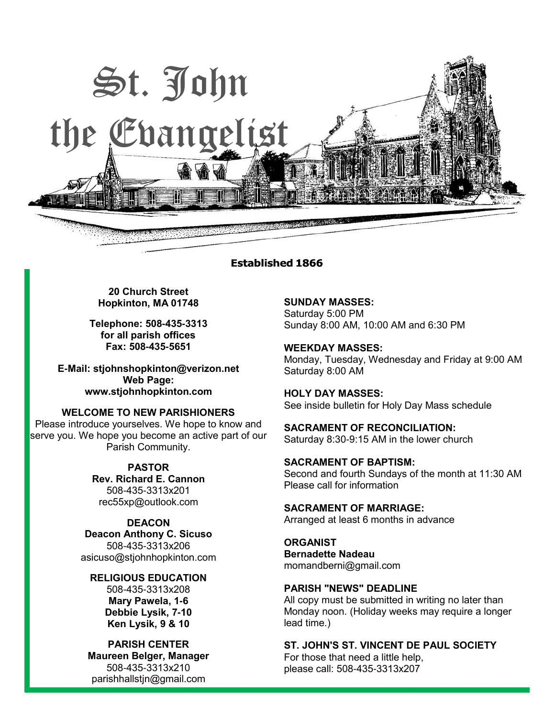

#### **Established 1866**

**20 Church Street Hopkinton, MA 01748**

**Telephone: 508-435-3313 for all parish offices Fax: 508-435-5651**

**E-Mail: [stjohnshopkinton@verizon.net](mailto:stjohnshopkinton@verizon.net) Web Page: [www.stjohnhopkinton.com](http://www.stjohnhopkinton.com/)**

**WELCOME TO NEW PARISHIONERS** Please introduce yourselves. We hope to know and serve you. We hope you become an active part of our Parish Community.

> **PASTOR Rev. Richard E. Cannon** 508-435-3313x201 [rec55xp@outlook.com](mailto:rec55xp@outlook.com)

**DEACON Deacon Anthony C. Sicuso** 508-435-3313x206 [asicuso@stjohnhopkinton.com](mailto:asicuso@stjohnhopkinton.com)

**RELIGIOUS EDUCATION** 508-435-3313x208 **Mary Pawela, 1-6 Debbie Lysik, 7-10 Ken Lysik, 9 & 10**

**PARISH CENTER Maureen Belger, Manager** 508-435-3313x210 [parishhallstjn@gmail.com](mailto:parishhallstjn@gmail.com)

**SUNDAY MASSES:** Saturday 5:00 PM Sunday 8:00 AM, 10:00 AM and 6:30 PM

**WEEKDAY MASSES:** Monday, Tuesday, Wednesday and Friday at 9:00 AM Saturday 8:00 AM

**HOLY DAY MASSES:** See inside bulletin for Holy Day Mass schedule

**SACRAMENT OF RECONCILIATION:** Saturday 8:30-9:15 AM in the lower church

**SACRAMENT OF BAPTISM:** Second and fourth Sundays of the month at 11:30 AM Please call for information

**SACRAMENT OF MARRIAGE:** Arranged at least 6 months in advance

**ORGANIST Bernadette Nadeau** momandberni@gmail.com

#### **PARISH "NEWS" DEADLINE**

All copy must be submitted in writing no later than Monday noon. (Holiday weeks may require a longer lead time.)

**ST. JOHN'S ST. VINCENT DE PAUL SOCIETY**

For those that need a little help, please call: 508-435-3313x207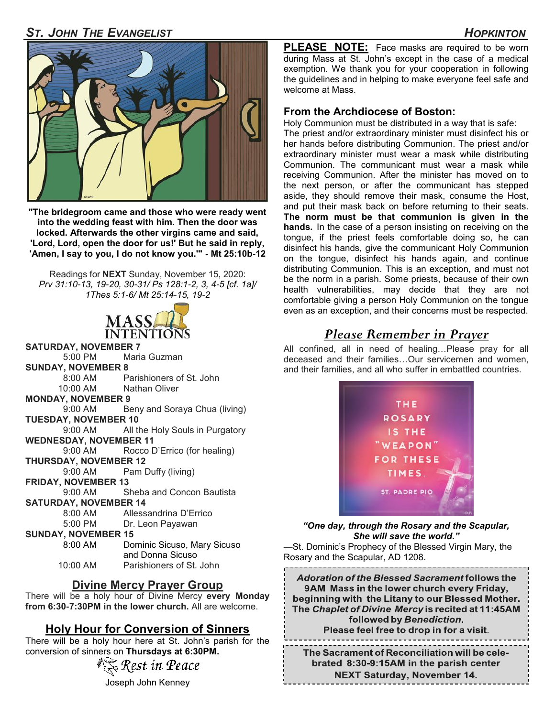# *ST. JOHN THE EVANGELIST HOPKINTON*



**"The bridegroom came and those who were ready went into the wedding feast with him. Then the door was locked. Afterwards the other virgins came and said, 'Lord, Lord, open the door for us!' But he said in reply, 'Amen, I say to you, I do not know you.'" - Mt 25:10b-12** 

Readings for **NEXT** Sunday, November 15, 2020: *Prv 31:10-13, 19-20, 30-31/ Ps 128:1-2, 3, 4-5 [cf. 1a]/ 1Thes 5:1-6/ Mt 25:14-15, 19-2* 



- **SATURDAY, NOVEMBER 7** 5:00 PM Maria Guzman **SUNDAY, NOVEMBER 8**
	- 8:00 AM Parishioners of St. John
	- 10:00 AM Nathan Oliver
- **MONDAY, NOVEMBER 9**
- 9:00 AM Beny and Soraya Chua (living) **TUESDAY, NOVEMBER 10**
- 9:00 AM All the Holy Souls in Purgatory **WEDNESDAY, NOVEMBER 11**

 9:00 AM Rocco D'Errico (for healing) **THURSDAY, NOVEMBER 12**

9:00 AM Pam Duffy (living)

**FRIDAY, NOVEMBER 13**

 9:00 AM Sheba and Concon Bautista **SATURDAY, NOVEMBER 14**

8:00 AM Allessandrina D'Errico

5:00 PM Dr. Leon Payawan

## **SUNDAY, NOVEMBER 15**

 8:00 AM Dominic Sicuso, Mary Sicuso and Donna Sicuso 10:00 AM Parishioners of St. John

# **Divine Mercy Prayer Group**

There will be a holy hour of Divine Mercy **every Monday from 6:30-7:30PM in the lower church.** All are welcome.

# **Holy Hour for Conversion of Sinners**

There will be a holy hour here at St. John's parish for the conversion of sinners on **Thursdays at 6:30PM.**



Joseph John Kenney

**PLEASE NOTE:** Face masks are required to be worn during Mass at St. John's except in the case of a medical exemption. We thank you for your cooperation in following the guidelines and in helping to make everyone feel safe and welcome at Mass.

### **From the Archdiocese of Boston:**

Holy Communion must be distributed in a way that is safe:

The priest and/or extraordinary minister must disinfect his or her hands before distributing Communion. The priest and/or extraordinary minister must wear a mask while distributing Communion. The communicant must wear a mask while receiving Communion. After the minister has moved on to the next person, or after the communicant has stepped aside, they should remove their mask, consume the Host, and put their mask back on before returning to their seats. **The norm must be that communion is given in the hands.** In the case of a person insisting on receiving on the tongue, if the priest feels comfortable doing so, he can disinfect his hands, give the communicant Holy Communion on the tongue, disinfect his hands again, and continue distributing Communion. This is an exception, and must not be the norm in a parish. Some priests, because of their own health vulnerabilities, may decide that they are not comfortable giving a person Holy Communion on the tongue even as an exception, and their concerns must be respected.

# *Please Remember in Prayer*

All confined, all in need of healing…Please pray for all deceased and their families…Our servicemen and women, and their families, and all who suffer in embattled countries.



### *"One day, through the Rosary and the Scapular, She will save the world."*

—St. Dominic's Prophecy of the Blessed Virgin Mary, the Rosary and the Scapular, AD 1208.

**Adoration of the Blessed Sacrament follows the** 9AM Mass in the lower church every Friday, beginning with the Litany to our Blessed Mother. The Chaplet of Divine Mercy is recited at 11:45AM followed by Benediction. Please feel free to drop in for a visit.

The Sacrament of Reconciliation will be celebrated 8:30-9:15AM in the parish center **NEXT Saturday, November 14.**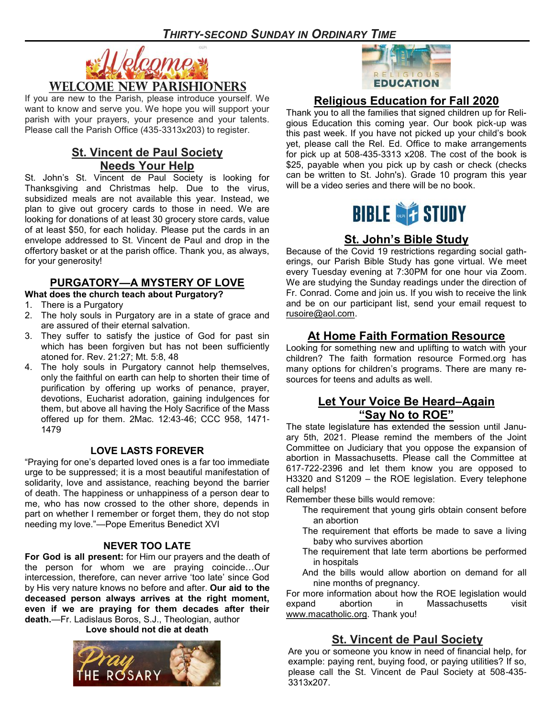

If you are new to the Parish, please introduce yourself. We want to know and serve you. We hope you will support your parish with your prayers, your presence and your talents. Please call the Parish Office (435-3313x203) to register.

# **St. Vincent de Paul Society Needs Your Help**

St. John's St. Vincent de Paul Society is looking for Thanksgiving and Christmas help. Due to the virus, subsidized meals are not available this year. Instead, we plan to give out grocery cards to those in need. We are looking for donations of at least 30 grocery store cards, value of at least \$50, for each holiday. Please put the cards in an envelope addressed to St. Vincent de Paul and drop in the offertory basket or at the parish office. Thank you, as always, for your generosity!

## **PURGATORY—A MYSTERY OF LOVE**

- **What does the church teach about Purgatory?**
- 1. There is a Purgatory
- 2. The holy souls in Purgatory are in a state of grace and are assured of their eternal salvation.
- 3. They suffer to satisfy the justice of God for past sin which has been forgiven but has not been sufficiently atoned for. Rev. 21:27; Mt. 5:8, 48
- 4. The holy souls in Purgatory cannot help themselves, only the faithful on earth can help to shorten their time of purification by offering up works of penance, prayer, devotions, Eucharist adoration, gaining indulgences for them, but above all having the Holy Sacrifice of the Mass offered up for them. 2Mac. 12:43-46; CCC 958, 1471- 1479

#### **LOVE LASTS FOREVER**

"Praying for one's departed loved ones is a far too immediate urge to be suppressed; it is a most beautiful manifestation of solidarity, love and assistance, reaching beyond the barrier of death. The happiness or unhappiness of a person dear to me, who has now crossed to the other shore, depends in part on whether I remember or forget them, they do not stop needing my love."—Pope Emeritus Benedict XVI

#### **NEVER TOO LATE**

**For God is all present:** for Him our prayers and the death of the person for whom we are praying coincide…Our intercession, therefore, can never arrive 'too late' since God by His very nature knows no before and after. **Our aid to the deceased person always arrives at the right moment, even if we are praying for them decades after their death.**—Fr. Ladislaus Boros, S.J., Theologian, author **Love should not die at death**





## **Religious Education for Fall 2020**

Thank you to all the families that signed children up for Religious Education this coming year. Our book pick-up was this past week. If you have not picked up your child's book yet, please call the Rel. Ed. Office to make arrangements for pick up at 508-435-3313 x208. The cost of the book is \$25, payable when you pick up by cash or check (checks can be written to St. John's). Grade 10 program this year will be a video series and there will be no book.



# **St. John's Bible Study**

Because of the Covid 19 restrictions regarding social gatherings, our Parish Bible Study has gone virtual. We meet every Tuesday evening at 7:30PM for one hour via Zoom. We are studying the Sunday readings under the direction of Fr. Conrad. Come and join us. If you wish to receive the link and be on our participant list, send your email request to [rusoire@aol.com.](mailto:rusoire@aol.com)

## **At Home Faith Formation Resource**

Looking for something new and uplifting to watch with your children? The faith formation resource Formed.org has many options for children's programs. There are many resources for teens and adults as well.

## **Let Your Voice Be Heard–Again "Say No to ROE"**

The state legislature has extended the session until January 5th, 2021. Please remind the members of the Joint Committee on Judiciary that you oppose the expansion of abortion in Massachusetts. Please call the Committee at 617-722-2396 and let them know you are opposed to H3320 and S1209 – the ROE legislation. Every telephone call helps!

Remember these bills would remove:

- The requirement that young girls obtain consent before an abortion
- The requirement that efforts be made to save a living baby who survives abortion
- The requirement that late term abortions be performed in hospitals
- And the bills would allow abortion on demand for all nine months of pregnancy.

For more information about how the ROE legislation would expand abortion in Massachusetts visit [www.macatholic.org.](http://www.macatholic.org) Thank you!

## **St. Vincent de Paul Society**

Are you or someone you know in need of financial help, for example: paying rent, buying food, or paying utilities? If so, please call the St. Vincent de Paul Society at 508-435- 3313x207.